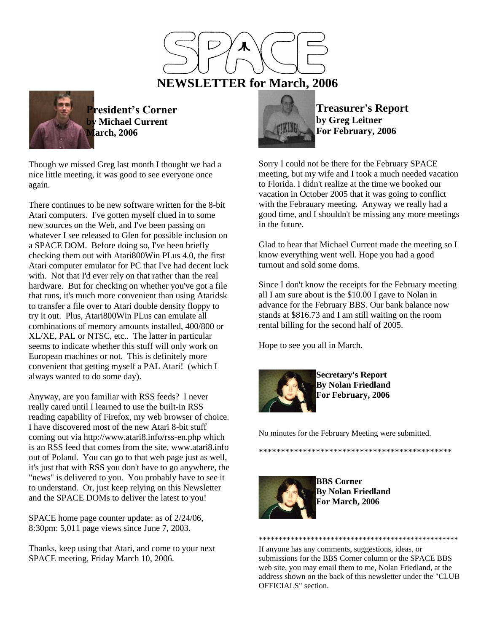



**President's Corner by Michael Current March, 2006**

Though we missed Greg last month I thought we had a nice little meeting, it was good to see everyone once again.

There continues to be new software written for the 8-bit Atari computers. I've gotten myself clued in to some new sources on the Web, and I've been passing on whatever I see released to Glen for possible inclusion on a SPACE DOM. Before doing so, I've been briefly checking them out with Atari800Win PLus 4.0, the first Atari computer emulator for PC that I've had decent luck with. Not that I'd ever rely on that rather than the real hardware. But for checking on whether you've got a file that runs, it's much more convenient than using Ataridsk to transfer a file over to Atari double density floppy to try it out. Plus, Atari800Win PLus can emulate all combinations of memory amounts installed, 400/800 or XL/XE, PAL or NTSC, etc.. The latter in particular seems to indicate whether this stuff will only work on European machines or not. This is definitely more convenient that getting myself a PAL Atari! (which I always wanted to do some day).

Anyway, are you familiar with RSS feeds? I never really cared until I learned to use the built-in RSS reading capability of Firefox, my web browser of choice. I have discovered most of the new Atari 8-bit stuff coming out via http://www.atari8.info/rss-en.php which is an RSS feed that comes from the site, www.atari8.info out of Poland. You can go to that web page just as well, it's just that with RSS you don't have to go anywhere, the "news" is delivered to you. You probably have to see it to understand. Or, just keep relying on this Newsletter and the SPACE DOMs to deliver the latest to you!

SPACE home page counter update: as of 2/24/06, 8:30pm: 5,011 page views since June 7, 2003.

Thanks, keep using that Atari, and come to your next SPACE meeting, Friday March 10, 2006.



**Treasurer's Report by Greg Leitner For February, 2006**

Sorry I could not be there for the February SPACE meeting, but my wife and I took a much needed vacation to Florida. I didn't realize at the time we booked our vacation in October 2005 that it was going to conflict with the Febrauary meeting. Anyway we really had a good time, and I shouldn't be missing any more meetings in the future.

Glad to hear that Michael Current made the meeting so I know everything went well. Hope you had a good turnout and sold some doms.

Since I don't know the receipts for the February meeting all I am sure about is the \$10.00 I gave to Nolan in advance for the February BBS. Our bank balance now stands at \$816.73 and I am still waiting on the room rental billing for the second half of 2005.

Hope to see you all in March.



**Secretary's Report By Nolan Friedland For February, 2006**

No minutes for the February Meeting were submitted.



**BBS Corner By Nolan Friedland For March, 2006**

\*\*\*\*\*\*\*\*\*\*\*\*\*\*\*\*\*\*\*\*\*\*\*\*\*\*\*\*\*\*\*\*\*\*\*\*\*\*\*\*\*\*\*\*

\*\*\*\*\*\*\*\*\*\*\*\*\*\*\*\*\*\*\*\*\*\*\*\*\*\*\*\*\*\*\*\*\*\*\*\*\*\*\*\*\*\*\*\*\*\*\*\*\*\* If anyone has any comments, suggestions, ideas, or submissions for the BBS Corner column or the SPACE BBS web site, you may email them to me, Nolan Friedland, at the address shown on the back of this newsletter under the "CLUB OFFICIALS" section.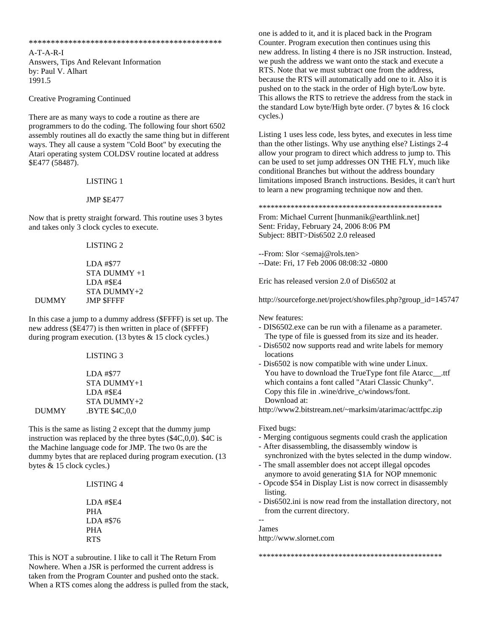\*\*\*\*\*\*\*\*\*\*\*\*\*\*\*\*\*\*\*\*\*\*\*\*\*\*\*\*\*\*\*\*\*\*\*\*\*\*\*\*\*\*\*\*

A-T-A-R-I Answers, Tips And Relevant Information by: Paul V. Alhart 1991.5

Creative Programing Continued

There are as many ways to code a routine as there are programmers to do the coding. The following four short 6502 assembly routines all do exactly the same thing but in different ways. They all cause a system "Cold Boot" by executing the Atari operating system COLDSV routine located at address \$E477 (58487).

LISTING 1

## JMP \$E477

Now that is pretty straight forward. This routine uses 3 bytes and takes only 3 clock cycles to execute.

LISTING 2

 LDA #\$77 STA DUMMY +1 LDA #\$E4 STA DUMMY+2 DUMMY JMP \$FFFF

In this case a jump to a dummy address (\$FFFF) is set up. The new address (\$E477) is then written in place of (\$FFFF) during program execution. (13 bytes & 15 clock cycles.)

LISTING 3

 LDA #\$77 STA DUMMY+1 LDA #\$E4 STA DUMMY+2 DUMMY .BYTE \$4C,0,0

This is the same as listing 2 except that the dummy jump instruction was replaced by the three bytes (\$4C,0,0). \$4C is the Machine language code for JMP. The two 0s are the dummy bytes that are replaced during program execution. (13 bytes & 15 clock cycles.)

> LISTING 4 LDA #\$E4

 PHA LDA #\$76 PHA RTS

This is NOT a subroutine. I like to call it The Return From Nowhere. When a JSR is performed the current address is taken from the Program Counter and pushed onto the stack. When a RTS comes along the address is pulled from the stack, one is added to it, and it is placed back in the Program Counter. Program execution then continues using this new address. In listing 4 there is no JSR instruction. Instead, we push the address we want onto the stack and execute a RTS. Note that we must subtract one from the address, because the RTS will automatically add one to it. Also it is pushed on to the stack in the order of High byte/Low byte. This allows the RTS to retrieve the address from the stack in the standard Low byte/High byte order. (7 bytes & 16 clock cycles.)

Listing 1 uses less code, less bytes, and executes in less time than the other listings. Why use anything else? Listings 2-4 allow your program to direct which address to jump to. This can be used to set jump addresses ON THE FLY, much like conditional Branches but without the address boundary limitations imposed Branch instructions. Besides, it can't hurt to learn a new programing technique now and then.

\*\*\*\*\*\*\*\*\*\*\*\*\*\*\*\*\*\*\*\*\*\*\*\*\*\*\*\*\*\*\*\*\*\*\*\*\*\*\*\*\*\*\*\*\*\*

From: Michael Current [hunmanik@earthlink.net] Sent: Friday, February 24, 2006 8:06 PM Subject: 8BIT>Dis6502 2.0 released

--From: Slor <semaj@rols.ten> --Date: Fri, 17 Feb 2006 08:08:32 -0800

Eric has released version 2.0 of Dis6502 at

http://sourceforge.net/project/showfiles.php?group\_id=145747

New features:

- DIS6502.exe can be run with a filename as a parameter. The type of file is guessed from its size and its header.
- Dis6502 now supports read and write labels for memory locations
- Dis6502 is now compatible with wine under Linux. You have to download the TrueType font file Atarcc\_\_.ttf which contains a font called "Atari Classic Chunky". Copy this file in .wine/drive\_c/windows/font. Download at:

http://www2.bitstream.net/~marksim/atarimac/acttfpc.zip

## Fixed bugs:

- Merging contiguous segments could crash the application
- After disassembling, the disassembly window is synchronized with the bytes selected in the dump window.
- The small assembler does not accept illegal opcodes anymore to avoid generating \$1A for NOP mnemonic
- Opcode \$54 in Display List is now correct in disassembly listing.
- Dis6502.ini is now read from the installation directory, not from the current directory.

\*\*\*\*\*\*\*\*\*\*\*\*\*\*\*\*\*\*\*\*\*\*\*\*\*\*\*\*\*\*\*\*\*\*\*\*\*\*\*\*\*\*\*\*\*\*

James http://www.slornet.com

--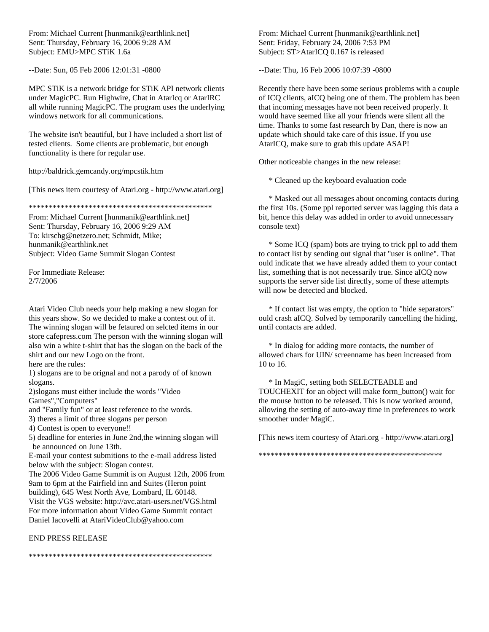From: Michael Current [hunmanik@earthlink.net] Sent: Thursday, February 16, 2006 9:28 AM Subject: EMU>MPC STiK 1.6a

--Date: Sun, 05 Feb 2006 12:01:31 -0800

MPC STiK is a network bridge for STiK API network clients under MagicPC. Run Highwire, Chat in AtarIcq or AtarIRC all while running MagicPC. The program uses the underlying windows network for all communications.

The website isn't beautiful, but I have included a short list of tested clients. Some clients are problematic, but enough functionality is there for regular use.

http://baldrick.gemcandy.org/mpcstik.htm

[This news item courtesy of Atari.org - http://www.atari.org]

\*\*\*\*\*\*\*\*\*\*\*\*\*\*\*\*\*\*\*\*\*\*\*\*\*\*\*\*\*\*\*\*\*\*\*\*\*\*\*\*\*\*\*\*\*\*

From: Michael Current [hunmanik@earthlink.net] Sent: Thursday, February 16, 2006 9:29 AM To: kirschg@netzero.net; Schmidt, Mike; hunmanik@earthlink.net Subject: Video Game Summit Slogan Contest

For Immediate Release: 2/7/2006

Atari Video Club needs your help making a new slogan for this years show. So we decided to make a contest out of it. The winning slogan will be fetaured on selcted items in our store cafepress.com The person with the winning slogan will also win a white t-shirt that has the slogan on the back of the shirt and our new Logo on the front.

here are the rules:

1) slogans are to be orignal and not a parody of of known slogans.

2)slogans must either include the words "Video Games","Computers"

and "Family fun" or at least reference to the words.

3) theres a limit of three slogans per person

4) Contest is open to everyone!!

5) deadline for enteries in June 2nd,the winning slogan will be announced on June 13th.

E-mail your contest submitions to the e-mail address listed below with the subject: Slogan contest.

The 2006 Video Game Summit is on August 12th, 2006 from 9am to 6pm at the Fairfield inn and Suites (Heron point building), 645 West North Ave, Lombard, IL 60148. Visit the VGS website: http://avc.atari-users.net/VGS.html For more information about Video Game Summit contact Daniel Iacovelli at AtariVideoClub@yahoo.com

## END PRESS RELEASE

From: Michael Current [hunmanik@earthlink.net] Sent: Friday, February 24, 2006 7:53 PM Subject: ST>AtarICQ 0.167 is released

--Date: Thu, 16 Feb 2006 10:07:39 -0800

Recently there have been some serious problems with a couple of ICQ clients, aICQ being one of them. The problem has been that incoming messages have not been received properly. It would have seemed like all your friends were silent all the time. Thanks to some fast research by Dan, there is now an update which should take care of this issue. If you use AtarICQ, make sure to grab this update ASAP!

Other noticeable changes in the new release:

\* Cleaned up the keyboard evaluation code

 \* Masked out all messages about oncoming contacts during the first 10s. (Some ppl reported server was lagging this data a bit, hence this delay was added in order to avoid unnecessary console text)

 \* Some ICQ (spam) bots are trying to trick ppl to add them to contact list by sending out signal that "user is online". That ould indicate that we have already added them to your contact list, something that is not necessarily true. Since aICQ now supports the server side list directly, some of these attempts will now be detected and blocked.

 \* If contact list was empty, the option to "hide separators" ould crash aICQ. Solved by temporarily cancelling the hiding, until contacts are added.

 \* In dialog for adding more contacts, the number of allowed chars for UIN/ screenname has been increased from 10 to 16.

 \* In MagiC, setting both SELECTEABLE and TOUCHEXIT for an object will make form\_button() wait for the mouse button to be released. This is now worked around, allowing the setting of auto-away time in preferences to work smoother under MagiC.

[This news item courtesy of Atari.org - http://www.atari.org]

\*\*\*\*\*\*\*\*\*\*\*\*\*\*\*\*\*\*\*\*\*\*\*\*\*\*\*\*\*\*\*\*\*\*\*\*\*\*\*\*\*\*\*\*\*\*

\*\*\*\*\*\*\*\*\*\*\*\*\*\*\*\*\*\*\*\*\*\*\*\*\*\*\*\*\*\*\*\*\*\*\*\*\*\*\*\*\*\*\*\*\*\*